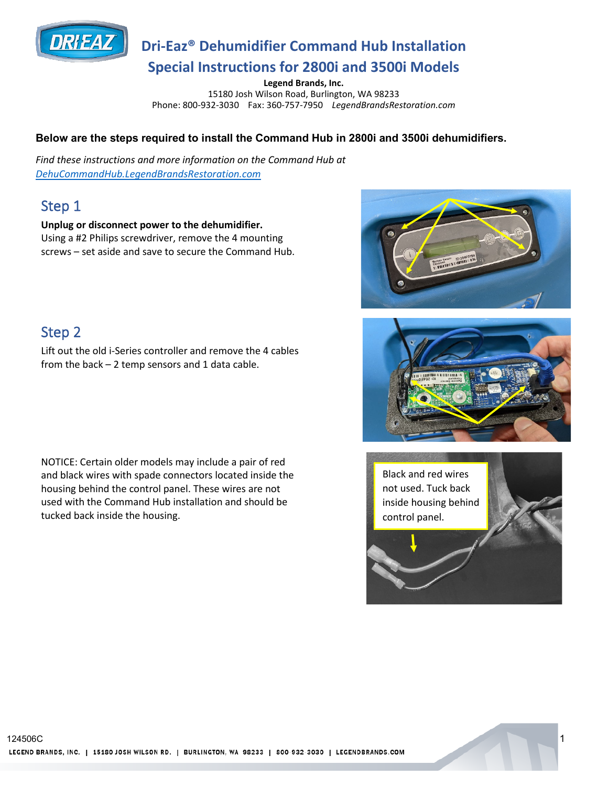

## **Dri-Eaz® Dehumidifier Command Hub Installation Special Instructions for 2800i and 3500i Models**

**Legend Brands, Inc.** 

15180 Josh Wilson Road, Burlington, WA 98233 Phone: 800-932-3030 Fax: 360-757-7950 *LegendBrandsRestoration.com*

#### **Below are the steps required to install the Command Hub in 2800i and 3500i dehumidifiers.**

*Find these instructions and more information on the Command Hub at [DehuCommandHub.LegendBrandsRestoration.com](https://www.legendbrandsrestoration.com/Dehu-Command-Hub)*

### Step 1

**Unplug or disconnect power to the dehumidifier.**  Using a #2 Philips screwdriver, remove the 4 mounting screws – set aside and save to secure the Command Hub.

### Step 2

Lift out the old i-Series controller and remove the 4 cables from the back  $-2$  temp sensors and 1 data cable.

NOTICE: Certain older models may include a pair of red and black wires with spade connectors located inside the housing behind the control panel. These wires are not used with the Command Hub installation and should be tucked back inside the housing.





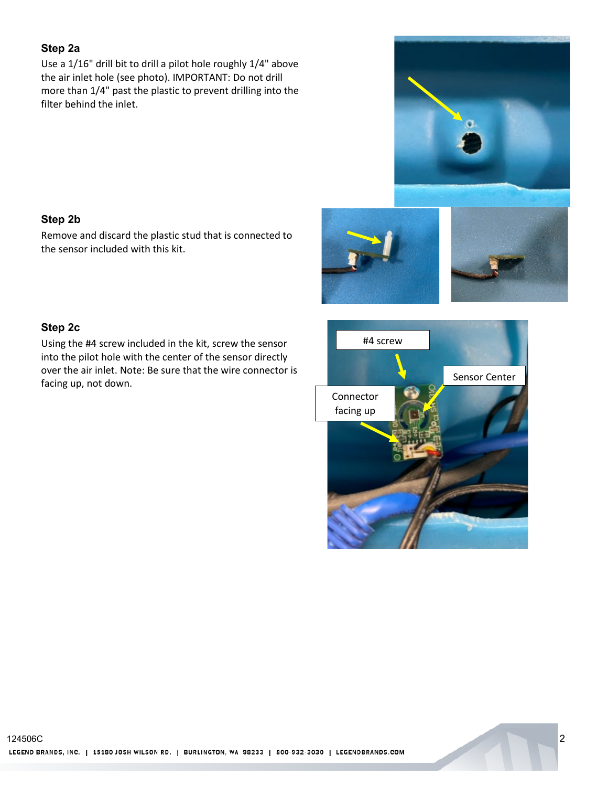#### **Step 2a**

Use a 1/16" drill bit to drill a pilot hole roughly 1/4" above the air inlet hole (see photo). IMPORTANT: Do not drill more than 1/4" past the plastic to prevent drilling into the filter behind the inlet.

#### **Step 2b**

Remove and discard the plastic stud that is connected to the sensor included with this kit.





#### **Step 2c**

Using the #4 screw included in the kit, screw the sensor into the pilot hole with the center of the sensor directly over the air inlet. Note: Be sure that the wire connector is facing up, not down. See sure that the wife connection is



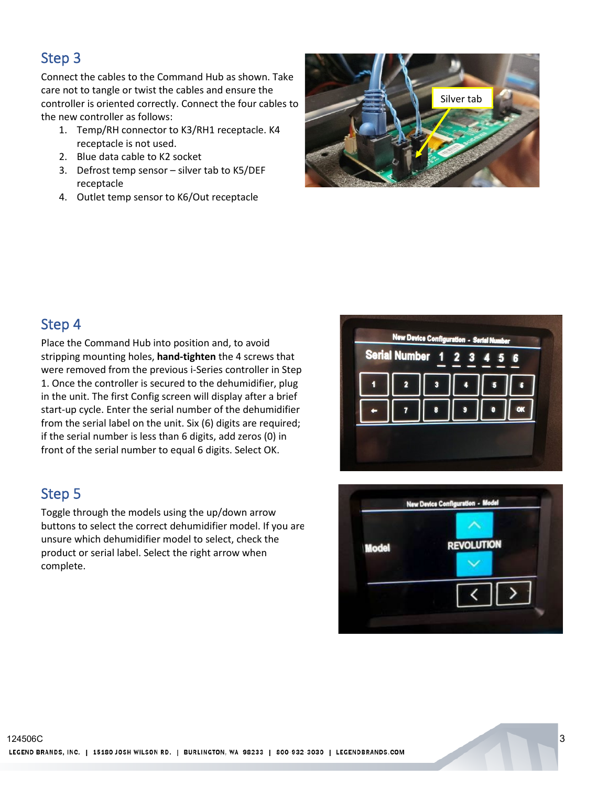### Step 3

Connect the cables to the Command Hub as shown. Take care not to tangle or twist the cables and ensure the controller is oriented correctly. Connect the four cables to the new controller as follows:

- 1. Temp/RH connector to K3/RH1 receptacle. K4 receptacle is not used.
- 2. Blue data cable to K2 socket
- 3. Defrost temp sensor silver tab to K5/DEF receptacle
- 4. Outlet temp sensor to K6/Out receptacle



### Step 4

Place the Command Hub into position and, to avoid stripping mounting holes, **hand-tighten** the 4 screws that were removed from the previous i-Series controller in Step 1. Once the controller is secured to the dehumidifier, plug in the unit. The first Config screen will display after a brief start-up cycle. Enter the serial number of the dehumidifier from the serial label on the unit. Six (6) digits are required; if the serial number is less than 6 digits, add zeros (0) in front of the serial number to equal 6 digits. Select OK.

### Step 5

Toggle through the models using the up/down arrow buttons to select the correct dehumidifier model. If you are unsure which dehumidifier model to select, check the product or serial label. Select the right arrow when complete.